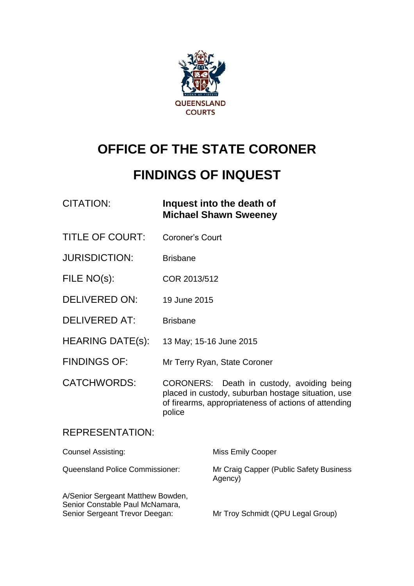

# **OFFICE OF THE STATE CORONER**

# **FINDINGS OF INQUEST**

| CITATION: | Inquest into the death of    |
|-----------|------------------------------|
|           | <b>Michael Shawn Sweeney</b> |

- TITLE OF COURT: Coroner's Court
- JURISDICTION: Brisbane
- FILE NO(s): COR 2013/512
- DELIVERED ON: 19 June 2015
- DELIVERED AT: Brisbane
- HEARING DATE(s): 13 May; 15-16 June 2015
- FINDINGS OF: Mr Terry Ryan, State Coroner

CATCHWORDS: CORONERS: Death in custody, avoiding being placed in custody, suburban hostage situation, use of firearms, appropriateness of actions of attending police

#### REPRESENTATION:

| <b>Counsel Assisting:</b>                                                                              | <b>Miss Emily Cooper</b>                           |
|--------------------------------------------------------------------------------------------------------|----------------------------------------------------|
| <b>Queensland Police Commissioner:</b>                                                                 | Mr Craig Capper (Public Safety Business<br>Agency) |
| A/Senior Sergeant Matthew Bowden,<br>Senior Constable Paul McNamara,<br>Senior Sergeant Trevor Deegan: | Mr Troy Schmidt (QPU Legal Group)                  |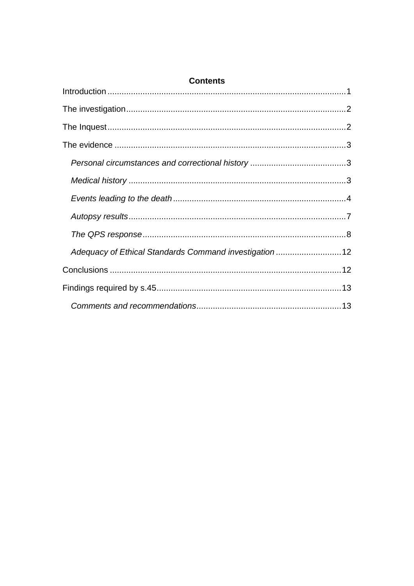| <b>Contents</b>                                         |  |
|---------------------------------------------------------|--|
|                                                         |  |
|                                                         |  |
|                                                         |  |
|                                                         |  |
|                                                         |  |
|                                                         |  |
|                                                         |  |
|                                                         |  |
|                                                         |  |
| Adequacy of Ethical Standards Command investigation  12 |  |
|                                                         |  |
|                                                         |  |
|                                                         |  |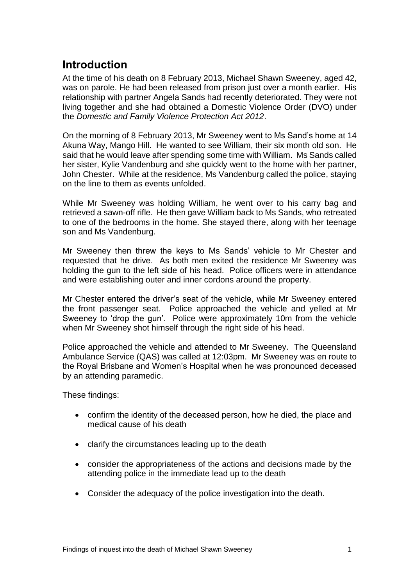### <span id="page-2-0"></span>**Introduction**

At the time of his death on 8 February 2013, Michael Shawn Sweeney, aged 42, was on parole. He had been released from prison just over a month earlier. His relationship with partner Angela Sands had recently deteriorated. They were not living together and she had obtained a Domestic Violence Order (DVO) under the *Domestic and Family Violence Protection Act 2012*.

On the morning of 8 February 2013, Mr Sweeney went to Ms Sand's home at 14 Akuna Way, Mango Hill. He wanted to see William, their six month old son. He said that he would leave after spending some time with William. Ms Sands called her sister, Kylie Vandenburg and she quickly went to the home with her partner, John Chester. While at the residence, Ms Vandenburg called the police, staying on the line to them as events unfolded.

While Mr Sweeney was holding William, he went over to his carry bag and retrieved a sawn-off rifle. He then gave William back to Ms Sands, who retreated to one of the bedrooms in the home. She stayed there, along with her teenage son and Ms Vandenburg.

Mr Sweeney then threw the keys to Ms Sands' vehicle to Mr Chester and requested that he drive. As both men exited the residence Mr Sweeney was holding the gun to the left side of his head. Police officers were in attendance and were establishing outer and inner cordons around the property.

Mr Chester entered the driver's seat of the vehicle, while Mr Sweeney entered the front passenger seat. Police approached the vehicle and yelled at Mr Sweeney to 'drop the gun'. Police were approximately 10m from the vehicle when Mr Sweeney shot himself through the right side of his head.

Police approached the vehicle and attended to Mr Sweeney. The Queensland Ambulance Service (QAS) was called at 12:03pm. Mr Sweeney was en route to the Royal Brisbane and Women's Hospital when he was pronounced deceased by an attending paramedic.

These findings:

- confirm the identity of the deceased person, how he died, the place and medical cause of his death
- clarify the circumstances leading up to the death
- consider the appropriateness of the actions and decisions made by the attending police in the immediate lead up to the death
- Consider the adequacy of the police investigation into the death.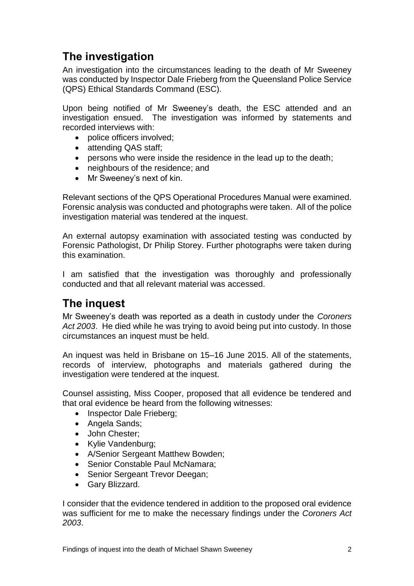## <span id="page-3-0"></span>**The investigation**

An investigation into the circumstances leading to the death of Mr Sweeney was conducted by Inspector Dale Frieberg from the Queensland Police Service (QPS) Ethical Standards Command (ESC).

Upon being notified of Mr Sweeney's death, the ESC attended and an investigation ensued. The investigation was informed by statements and recorded interviews with:

- police officers involved;
- attending QAS staff;
- persons who were inside the residence in the lead up to the death;
- neighbours of the residence; and
- Mr Sweeney's next of kin.

Relevant sections of the QPS Operational Procedures Manual were examined. Forensic analysis was conducted and photographs were taken. All of the police investigation material was tendered at the inquest.

An external autopsy examination with associated testing was conducted by Forensic Pathologist, Dr Philip Storey. Further photographs were taken during this examination.

I am satisfied that the investigation was thoroughly and professionally conducted and that all relevant material was accessed.

### <span id="page-3-1"></span>**The inquest**

Mr Sweeney's death was reported as a death in custody under the *Coroners Act 2003*. He died while he was trying to avoid being put into custody. In those circumstances an inquest must be held.

An inquest was held in Brisbane on 15–16 June 2015. All of the statements, records of interview, photographs and materials gathered during the investigation were tendered at the inquest.

Counsel assisting, Miss Cooper, proposed that all evidence be tendered and that oral evidence be heard from the following witnesses:

- Inspector Dale Frieberg;
- Angela Sands;
- John Chester;
- Kylie Vandenburg;
- A/Senior Sergeant Matthew Bowden;
- Senior Constable Paul McNamara;
- Senior Sergeant Trevor Deegan;
- Gary Blizzard.

I consider that the evidence tendered in addition to the proposed oral evidence was sufficient for me to make the necessary findings under the *Coroners Act 2003*.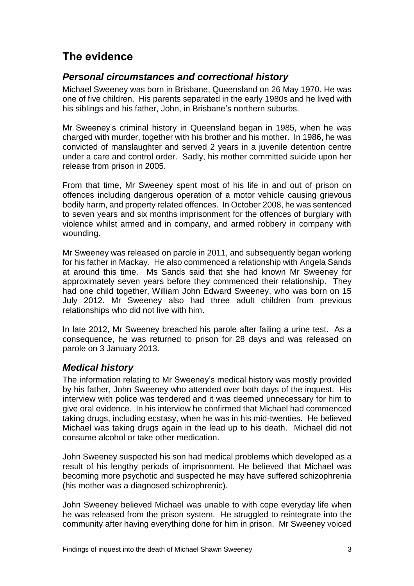## <span id="page-4-0"></span>**The evidence**

#### <span id="page-4-1"></span>*Personal circumstances and correctional history*

Michael Sweeney was born in Brisbane, Queensland on 26 May 1970. He was one of five children. His parents separated in the early 1980s and he lived with his siblings and his father, John, in Brisbane's northern suburbs.

Mr Sweeney's criminal history in Queensland began in 1985, when he was charged with murder, together with his brother and his mother. In 1986, he was convicted of manslaughter and served 2 years in a juvenile detention centre under a care and control order. Sadly, his mother committed suicide upon her release from prison in 2005.

From that time, Mr Sweeney spent most of his life in and out of prison on offences including dangerous operation of a motor vehicle causing grievous bodily harm, and property related offences. In October 2008, he was sentenced to seven years and six months imprisonment for the offences of burglary with violence whilst armed and in company, and armed robbery in company with wounding.

Mr Sweeney was released on parole in 2011, and subsequently began working for his father in Mackay. He also commenced a relationship with Angela Sands at around this time. Ms Sands said that she had known Mr Sweeney for approximately seven years before they commenced their relationship. They had one child together, William John Edward Sweeney, who was born on 15 July 2012. Mr Sweeney also had three adult children from previous relationships who did not live with him.

In late 2012, Mr Sweeney breached his parole after failing a urine test. As a consequence, he was returned to prison for 28 days and was released on parole on 3 January 2013.

#### <span id="page-4-2"></span>*Medical history*

The information relating to Mr Sweeney's medical history was mostly provided by his father, John Sweeney who attended over both days of the inquest. His interview with police was tendered and it was deemed unnecessary for him to give oral evidence. In his interview he confirmed that Michael had commenced taking drugs, including ecstasy, when he was in his mid-twenties. He believed Michael was taking drugs again in the lead up to his death. Michael did not consume alcohol or take other medication.

John Sweeney suspected his son had medical problems which developed as a result of his lengthy periods of imprisonment. He believed that Michael was becoming more psychotic and suspected he may have suffered schizophrenia (his mother was a diagnosed schizophrenic).

John Sweeney believed Michael was unable to with cope everyday life when he was released from the prison system. He struggled to reintegrate into the community after having everything done for him in prison. Mr Sweeney voiced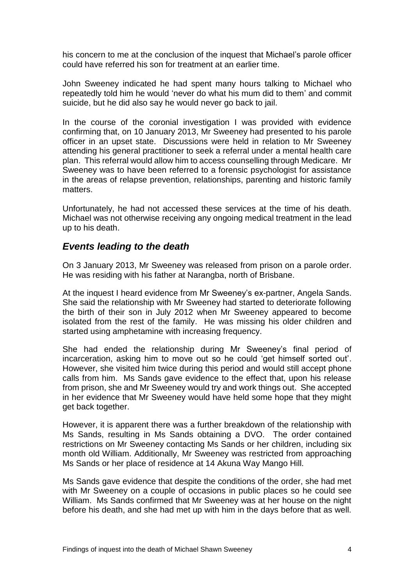his concern to me at the conclusion of the inquest that Michael's parole officer could have referred his son for treatment at an earlier time.

John Sweeney indicated he had spent many hours talking to Michael who repeatedly told him he would 'never do what his mum did to them' and commit suicide, but he did also say he would never go back to jail.

In the course of the coronial investigation I was provided with evidence confirming that, on 10 January 2013, Mr Sweeney had presented to his parole officer in an upset state. Discussions were held in relation to Mr Sweeney attending his general practitioner to seek a referral under a mental health care plan. This referral would allow him to access counselling through Medicare. Mr Sweeney was to have been referred to a forensic psychologist for assistance in the areas of relapse prevention, relationships, parenting and historic family matters.

Unfortunately, he had not accessed these services at the time of his death. Michael was not otherwise receiving any ongoing medical treatment in the lead up to his death.

#### <span id="page-5-0"></span>*Events leading to the death*

On 3 January 2013, Mr Sweeney was released from prison on a parole order. He was residing with his father at Narangba, north of Brisbane.

At the inquest I heard evidence from Mr Sweeney's ex-partner, Angela Sands. She said the relationship with Mr Sweeney had started to deteriorate following the birth of their son in July 2012 when Mr Sweeney appeared to become isolated from the rest of the family. He was missing his older children and started using amphetamine with increasing frequency.

She had ended the relationship during Mr Sweeney's final period of incarceration, asking him to move out so he could 'get himself sorted out'. However, she visited him twice during this period and would still accept phone calls from him. Ms Sands gave evidence to the effect that, upon his release from prison, she and Mr Sweeney would try and work things out. She accepted in her evidence that Mr Sweeney would have held some hope that they might get back together.

However, it is apparent there was a further breakdown of the relationship with Ms Sands, resulting in Ms Sands obtaining a DVO. The order contained restrictions on Mr Sweeney contacting Ms Sands or her children, including six month old William. Additionally, Mr Sweeney was restricted from approaching Ms Sands or her place of residence at 14 Akuna Way Mango Hill.

Ms Sands gave evidence that despite the conditions of the order, she had met with Mr Sweeney on a couple of occasions in public places so he could see William. Ms Sands confirmed that Mr Sweeney was at her house on the night before his death, and she had met up with him in the days before that as well.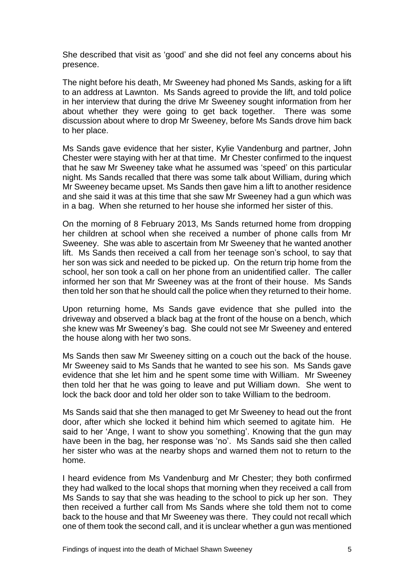She described that visit as 'good' and she did not feel any concerns about his presence.

The night before his death, Mr Sweeney had phoned Ms Sands, asking for a lift to an address at Lawnton. Ms Sands agreed to provide the lift, and told police in her interview that during the drive Mr Sweeney sought information from her about whether they were going to get back together. There was some discussion about where to drop Mr Sweeney, before Ms Sands drove him back to her place.

Ms Sands gave evidence that her sister, Kylie Vandenburg and partner, John Chester were staying with her at that time. Mr Chester confirmed to the inquest that he saw Mr Sweeney take what he assumed was 'speed' on this particular night. Ms Sands recalled that there was some talk about William, during which Mr Sweeney became upset. Ms Sands then gave him a lift to another residence and she said it was at this time that she saw Mr Sweeney had a gun which was in a bag. When she returned to her house she informed her sister of this.

On the morning of 8 February 2013, Ms Sands returned home from dropping her children at school when she received a number of phone calls from Mr Sweeney. She was able to ascertain from Mr Sweeney that he wanted another lift. Ms Sands then received a call from her teenage son's school, to say that her son was sick and needed to be picked up. On the return trip home from the school, her son took a call on her phone from an unidentified caller. The caller informed her son that Mr Sweeney was at the front of their house. Ms Sands then told her son that he should call the police when they returned to their home.

Upon returning home, Ms Sands gave evidence that she pulled into the driveway and observed a black bag at the front of the house on a bench, which she knew was Mr Sweeney's bag. She could not see Mr Sweeney and entered the house along with her two sons.

Ms Sands then saw Mr Sweeney sitting on a couch out the back of the house. Mr Sweeney said to Ms Sands that he wanted to see his son. Ms Sands gave evidence that she let him and he spent some time with William. Mr Sweeney then told her that he was going to leave and put William down. She went to lock the back door and told her older son to take William to the bedroom.

Ms Sands said that she then managed to get Mr Sweeney to head out the front door, after which she locked it behind him which seemed to agitate him. He said to her 'Ange, I want to show you something'. Knowing that the gun may have been in the bag, her response was 'no'. Ms Sands said she then called her sister who was at the nearby shops and warned them not to return to the home.

I heard evidence from Ms Vandenburg and Mr Chester; they both confirmed they had walked to the local shops that morning when they received a call from Ms Sands to say that she was heading to the school to pick up her son. They then received a further call from Ms Sands where she told them not to come back to the house and that Mr Sweeney was there. They could not recall which one of them took the second call, and it is unclear whether a gun was mentioned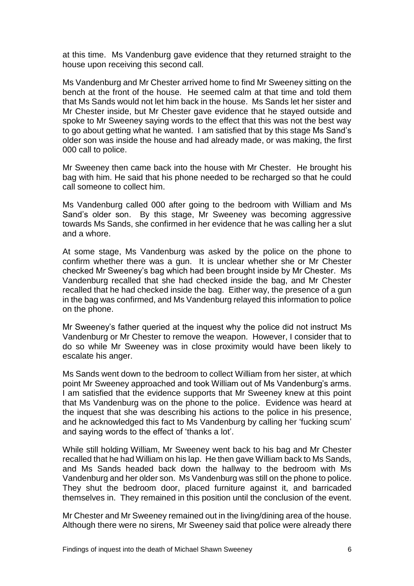at this time. Ms Vandenburg gave evidence that they returned straight to the house upon receiving this second call.

Ms Vandenburg and Mr Chester arrived home to find Mr Sweeney sitting on the bench at the front of the house. He seemed calm at that time and told them that Ms Sands would not let him back in the house. Ms Sands let her sister and Mr Chester inside, but Mr Chester gave evidence that he stayed outside and spoke to Mr Sweeney saying words to the effect that this was not the best way to go about getting what he wanted. I am satisfied that by this stage Ms Sand's older son was inside the house and had already made, or was making, the first 000 call to police.

Mr Sweeney then came back into the house with Mr Chester. He brought his bag with him. He said that his phone needed to be recharged so that he could call someone to collect him.

Ms Vandenburg called 000 after going to the bedroom with William and Ms Sand's older son. By this stage, Mr Sweeney was becoming aggressive towards Ms Sands, she confirmed in her evidence that he was calling her a slut and a whore.

At some stage, Ms Vandenburg was asked by the police on the phone to confirm whether there was a gun. It is unclear whether she or Mr Chester checked Mr Sweeney's bag which had been brought inside by Mr Chester. Ms Vandenburg recalled that she had checked inside the bag, and Mr Chester recalled that he had checked inside the bag. Either way, the presence of a gun in the bag was confirmed, and Ms Vandenburg relayed this information to police on the phone.

Mr Sweeney's father queried at the inquest why the police did not instruct Ms Vandenburg or Mr Chester to remove the weapon. However, I consider that to do so while Mr Sweeney was in close proximity would have been likely to escalate his anger.

Ms Sands went down to the bedroom to collect William from her sister, at which point Mr Sweeney approached and took William out of Ms Vandenburg's arms. I am satisfied that the evidence supports that Mr Sweeney knew at this point that Ms Vandenburg was on the phone to the police. Evidence was heard at the inquest that she was describing his actions to the police in his presence, and he acknowledged this fact to Ms Vandenburg by calling her 'fucking scum' and saying words to the effect of 'thanks a lot'.

While still holding William, Mr Sweeney went back to his bag and Mr Chester recalled that he had William on his lap. He then gave William back to Ms Sands, and Ms Sands headed back down the hallway to the bedroom with Ms Vandenburg and her older son. Ms Vandenburg was still on the phone to police. They shut the bedroom door, placed furniture against it, and barricaded themselves in. They remained in this position until the conclusion of the event.

Mr Chester and Mr Sweeney remained out in the living/dining area of the house. Although there were no sirens, Mr Sweeney said that police were already there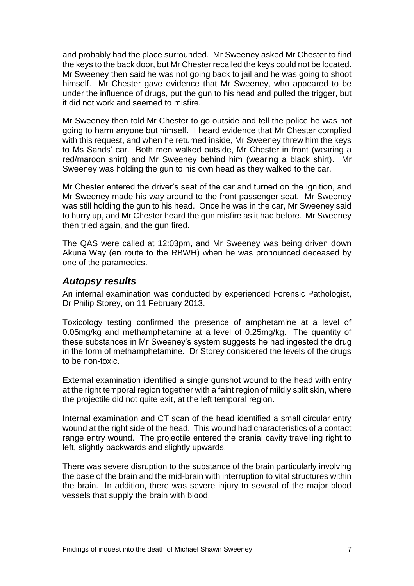and probably had the place surrounded. Mr Sweeney asked Mr Chester to find the keys to the back door, but Mr Chester recalled the keys could not be located. Mr Sweeney then said he was not going back to jail and he was going to shoot himself. Mr Chester gave evidence that Mr Sweeney, who appeared to be under the influence of drugs, put the gun to his head and pulled the trigger, but it did not work and seemed to misfire.

Mr Sweeney then told Mr Chester to go outside and tell the police he was not going to harm anyone but himself. I heard evidence that Mr Chester complied with this request, and when he returned inside, Mr Sweeney threw him the keys to Ms Sands' car. Both men walked outside, Mr Chester in front (wearing a red/maroon shirt) and Mr Sweeney behind him (wearing a black shirt). Mr Sweeney was holding the gun to his own head as they walked to the car.

Mr Chester entered the driver's seat of the car and turned on the ignition, and Mr Sweeney made his way around to the front passenger seat. Mr Sweeney was still holding the gun to his head. Once he was in the car, Mr Sweeney said to hurry up, and Mr Chester heard the gun misfire as it had before. Mr Sweeney then tried again, and the gun fired.

The QAS were called at 12:03pm, and Mr Sweeney was being driven down Akuna Way (en route to the RBWH) when he was pronounced deceased by one of the paramedics.

#### <span id="page-8-0"></span>*Autopsy results*

An internal examination was conducted by experienced Forensic Pathologist, Dr Philip Storey, on 11 February 2013.

Toxicology testing confirmed the presence of amphetamine at a level of 0.05mg/kg and methamphetamine at a level of 0.25mg/kg. The quantity of these substances in Mr Sweeney's system suggests he had ingested the drug in the form of methamphetamine. Dr Storey considered the levels of the drugs to be non-toxic.

External examination identified a single gunshot wound to the head with entry at the right temporal region together with a faint region of mildly split skin, where the projectile did not quite exit, at the left temporal region.

Internal examination and CT scan of the head identified a small circular entry wound at the right side of the head. This wound had characteristics of a contact range entry wound. The projectile entered the cranial cavity travelling right to left, slightly backwards and slightly upwards.

There was severe disruption to the substance of the brain particularly involving the base of the brain and the mid-brain with interruption to vital structures within the brain. In addition, there was severe injury to several of the major blood vessels that supply the brain with blood.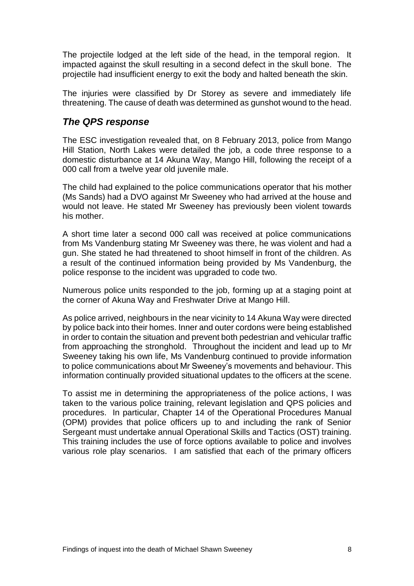The projectile lodged at the left side of the head, in the temporal region. It impacted against the skull resulting in a second defect in the skull bone. The projectile had insufficient energy to exit the body and halted beneath the skin.

The injuries were classified by Dr Storey as severe and immediately life threatening. The cause of death was determined as gunshot wound to the head.

#### <span id="page-9-0"></span>*The QPS response*

The ESC investigation revealed that, on 8 February 2013, police from Mango Hill Station, North Lakes were detailed the job, a code three response to a domestic disturbance at 14 Akuna Way, Mango Hill, following the receipt of a 000 call from a twelve year old juvenile male.

The child had explained to the police communications operator that his mother (Ms Sands) had a DVO against Mr Sweeney who had arrived at the house and would not leave. He stated Mr Sweeney has previously been violent towards his mother.

A short time later a second 000 call was received at police communications from Ms Vandenburg stating Mr Sweeney was there, he was violent and had a gun. She stated he had threatened to shoot himself in front of the children. As a result of the continued information being provided by Ms Vandenburg, the police response to the incident was upgraded to code two.

Numerous police units responded to the job, forming up at a staging point at the corner of Akuna Way and Freshwater Drive at Mango Hill.

As police arrived, neighbours in the near vicinity to 14 Akuna Way were directed by police back into their homes. Inner and outer cordons were being established in order to contain the situation and prevent both pedestrian and vehicular traffic from approaching the stronghold. Throughout the incident and lead up to Mr Sweeney taking his own life, Ms Vandenburg continued to provide information to police communications about Mr Sweeney's movements and behaviour. This information continually provided situational updates to the officers at the scene.

To assist me in determining the appropriateness of the police actions, I was taken to the various police training, relevant legislation and QPS policies and procedures. In particular, Chapter 14 of the Operational Procedures Manual (OPM) provides that police officers up to and including the rank of Senior Sergeant must undertake annual Operational Skills and Tactics (OST) training. This training includes the use of force options available to police and involves various role play scenarios. I am satisfied that each of the primary officers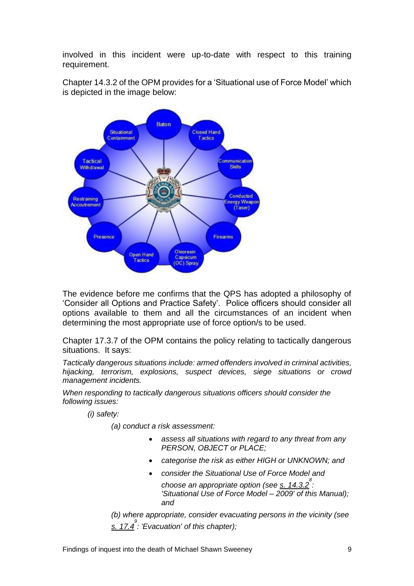involved in this incident were up-to-date with respect to this training requirement.

Chapter 14.3.2 of the OPM provides for a 'Situational use of Force Model' which is depicted in the image below:



The evidence before me confirms that the QPS has adopted a philosophy of 'Consider all Options and Practice Safety'. Police officers should consider all options available to them and all the circumstances of an incident when determining the most appropriate use of force option/s to be used.

Chapter 17.3.7 of the OPM contains the policy relating to tactically dangerous situations. It says:

*Tactically dangerous situations include: armed offenders involved in criminal activities, hijacking, terrorism, explosions, suspect devices, siege situations or crowd management incidents.* 

*When responding to tactically dangerous situations officers should consider the following issues:* 

*(i) safety:* 

*(a) conduct a risk assessment:* 

- *assess all situations with regard to any threat from any PERSON, OBJECT or PLACE;*
- *categorise the risk as either HIGH or UNKNOWN; and*
- *consider the Situational Use of Force Model and choose an appropriate option (see s. 14.3.2 8 : 'Situational Use of Force Model – 2009' of this Manual); and*

*(b) where appropriate, consider evacuating persons in the vicinity (see s. 17.4 9 : 'Evacuation' of this chapter);*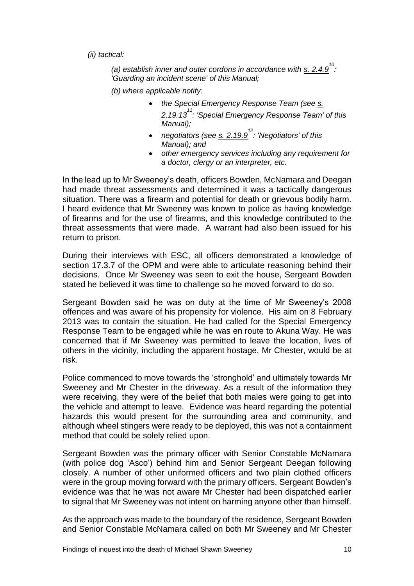*(ii) tactical:* 

*(a) establish inner and outer cordons in accordance with s. 2.4.9 10 : 'Guarding an incident scene' of this Manual;* 

*(b) where applicable notify:* 

- *the Special Emergency Response Team (see s. 2.19.13 11 : 'Special Emergency Response Team' of this Manual);*
- *negotiators (see s. 2.19.9 12 : 'Negotiators' of this Manual); and*
- *other emergency services including any requirement for a doctor, clergy or an interpreter, etc.*

In the lead up to Mr Sweeney's death, officers Bowden, McNamara and Deegan had made threat assessments and determined it was a tactically dangerous situation. There was a firearm and potential for death or grievous bodily harm. I heard evidence that Mr Sweeney was known to police as having knowledge of firearms and for the use of firearms, and this knowledge contributed to the threat assessments that were made. A warrant had also been issued for his return to prison.

During their interviews with ESC, all officers demonstrated a knowledge of section 17.3.7 of the OPM and were able to articulate reasoning behind their decisions. Once Mr Sweeney was seen to exit the house, Sergeant Bowden stated he believed it was time to challenge so he moved forward to do so.

Sergeant Bowden said he was on duty at the time of Mr Sweeney's 2008 offences and was aware of his propensity for violence. His aim on 8 February 2013 was to contain the situation. He had called for the Special Emergency Response Team to be engaged while he was en route to Akuna Way. He was concerned that if Mr Sweeney was permitted to leave the location, lives of others in the vicinity, including the apparent hostage, Mr Chester, would be at risk.

Police commenced to move towards the 'stronghold' and ultimately towards Mr Sweeney and Mr Chester in the driveway. As a result of the information they were receiving, they were of the belief that both males were going to get into the vehicle and attempt to leave. Evidence was heard regarding the potential hazards this would present for the surrounding area and community, and although wheel stingers were ready to be deployed, this was not a containment method that could be solely relied upon.

Sergeant Bowden was the primary officer with Senior Constable McNamara (with police dog 'Asco') behind him and Senior Sergeant Deegan following closely. A number of other uniformed officers and two plain clothed officers were in the group moving forward with the primary officers. Sergeant Bowden's evidence was that he was not aware Mr Chester had been dispatched earlier to signal that Mr Sweeney was not intent on harming anyone other than himself.

As the approach was made to the boundary of the residence, Sergeant Bowden and Senior Constable McNamara called on both Mr Sweeney and Mr Chester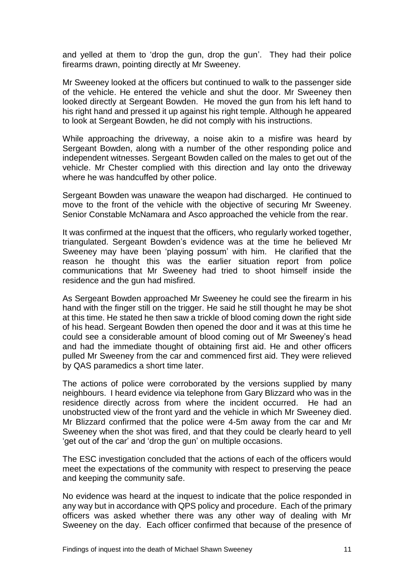and yelled at them to 'drop the gun, drop the gun'. They had their police firearms drawn, pointing directly at Mr Sweeney.

Mr Sweeney looked at the officers but continued to walk to the passenger side of the vehicle. He entered the vehicle and shut the door. Mr Sweeney then looked directly at Sergeant Bowden. He moved the gun from his left hand to his right hand and pressed it up against his right temple. Although he appeared to look at Sergeant Bowden, he did not comply with his instructions.

While approaching the driveway, a noise akin to a misfire was heard by Sergeant Bowden, along with a number of the other responding police and independent witnesses. Sergeant Bowden called on the males to get out of the vehicle. Mr Chester complied with this direction and lay onto the driveway where he was handcuffed by other police.

Sergeant Bowden was unaware the weapon had discharged. He continued to move to the front of the vehicle with the objective of securing Mr Sweeney. Senior Constable McNamara and Asco approached the vehicle from the rear.

It was confirmed at the inquest that the officers, who regularly worked together, triangulated. Sergeant Bowden's evidence was at the time he believed Mr Sweeney may have been 'playing possum' with him. He clarified that the reason he thought this was the earlier situation report from police communications that Mr Sweeney had tried to shoot himself inside the residence and the gun had misfired.

As Sergeant Bowden approached Mr Sweeney he could see the firearm in his hand with the finger still on the trigger. He said he still thought he may be shot at this time. He stated he then saw a trickle of blood coming down the right side of his head. Sergeant Bowden then opened the door and it was at this time he could see a considerable amount of blood coming out of Mr Sweeney's head and had the immediate thought of obtaining first aid. He and other officers pulled Mr Sweeney from the car and commenced first aid. They were relieved by QAS paramedics a short time later.

The actions of police were corroborated by the versions supplied by many neighbours. I heard evidence via telephone from Gary Blizzard who was in the residence directly across from where the incident occurred. He had an unobstructed view of the front yard and the vehicle in which Mr Sweeney died. Mr Blizzard confirmed that the police were 4-5m away from the car and Mr Sweeney when the shot was fired, and that they could be clearly heard to yell 'get out of the car' and 'drop the gun' on multiple occasions.

The ESC investigation concluded that the actions of each of the officers would meet the expectations of the community with respect to preserving the peace and keeping the community safe.

No evidence was heard at the inquest to indicate that the police responded in any way but in accordance with QPS policy and procedure. Each of the primary officers was asked whether there was any other way of dealing with Mr Sweeney on the day. Each officer confirmed that because of the presence of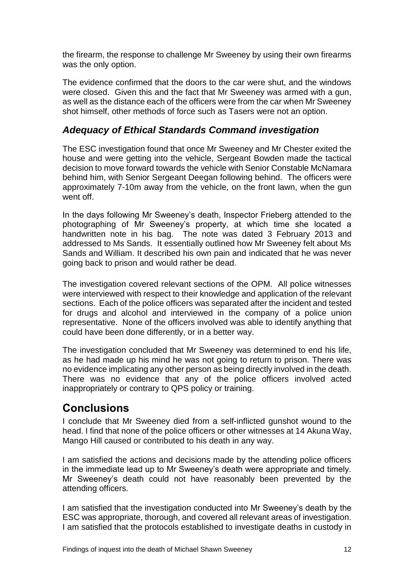the firearm, the response to challenge Mr Sweeney by using their own firearms was the only option.

The evidence confirmed that the doors to the car were shut, and the windows were closed. Given this and the fact that Mr Sweeney was armed with a gun, as well as the distance each of the officers were from the car when Mr Sweeney shot himself, other methods of force such as Tasers were not an option.

#### <span id="page-13-0"></span>*Adequacy of Ethical Standards Command investigation*

The ESC investigation found that once Mr Sweeney and Mr Chester exited the house and were getting into the vehicle, Sergeant Bowden made the tactical decision to move forward towards the vehicle with Senior Constable McNamara behind him, with Senior Sergeant Deegan following behind. The officers were approximately 7-10m away from the vehicle, on the front lawn, when the gun went off.

In the days following Mr Sweeney's death, Inspector Frieberg attended to the photographing of Mr Sweeney's property, at which time she located a handwritten note in his bag. The note was dated 3 February 2013 and addressed to Ms Sands. It essentially outlined how Mr Sweeney felt about Ms Sands and William. It described his own pain and indicated that he was never going back to prison and would rather be dead.

The investigation covered relevant sections of the OPM. All police witnesses were interviewed with respect to their knowledge and application of the relevant sections. Each of the police officers was separated after the incident and tested for drugs and alcohol and interviewed in the company of a police union representative. None of the officers involved was able to identify anything that could have been done differently, or in a better way.

The investigation concluded that Mr Sweeney was determined to end his life, as he had made up his mind he was not going to return to prison. There was no evidence implicating any other person as being directly involved in the death. There was no evidence that any of the police officers involved acted inappropriately or contrary to QPS policy or training.

### <span id="page-13-1"></span>**Conclusions**

I conclude that Mr Sweeney died from a self-inflicted gunshot wound to the head. I find that none of the police officers or other witnesses at 14 Akuna Way, Mango Hill caused or contributed to his death in any way.

I am satisfied the actions and decisions made by the attending police officers in the immediate lead up to Mr Sweeney's death were appropriate and timely. Mr Sweeney's death could not have reasonably been prevented by the attending officers.

I am satisfied that the investigation conducted into Mr Sweeney's death by the ESC was appropriate, thorough, and covered all relevant areas of investigation. I am satisfied that the protocols established to investigate deaths in custody in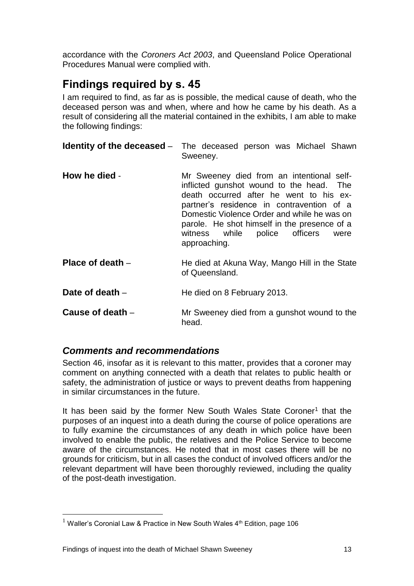accordance with the *Coroners Act 2003*, and Queensland Police Operational Procedures Manual were complied with.

### <span id="page-14-0"></span>**Findings required by s. 45**

I am required to find, as far as is possible, the medical cause of death, who the deceased person was and when, where and how he came by his death. As a result of considering all the material contained in the exhibits, I am able to make the following findings:

|                  | <b>Identity of the deceased</b> – The deceased person was Michael Shawn<br>Sweeney.                                                                                                                                                                                                                                                      |
|------------------|------------------------------------------------------------------------------------------------------------------------------------------------------------------------------------------------------------------------------------------------------------------------------------------------------------------------------------------|
| How he died -    | Mr Sweeney died from an intentional self-<br>inflicted gunshot wound to the head. The<br>death occurred after he went to his ex-<br>partner's residence in contravention of a<br>Domestic Violence Order and while he was on<br>parole. He shot himself in the presence of a<br>witness while<br>police officers<br>were<br>approaching. |
| Place of death - | He died at Akuna Way, Mango Hill in the State<br>of Queensland.                                                                                                                                                                                                                                                                          |
| Date of death –  | He died on 8 February 2013.                                                                                                                                                                                                                                                                                                              |
| Cause of death - | Mr Sweeney died from a gunshot wound to the<br>head.                                                                                                                                                                                                                                                                                     |

#### <span id="page-14-1"></span>*Comments and recommendations*

Section 46, insofar as it is relevant to this matter, provides that a coroner may comment on anything connected with a death that relates to public health or safety, the administration of justice or ways to prevent deaths from happening in similar circumstances in the future.

It has been said by the former New South Wales State Coroner<sup>1</sup> that the purposes of an inquest into a death during the course of police operations are to fully examine the circumstances of any death in which police have been involved to enable the public, the relatives and the Police Service to become aware of the circumstances. He noted that in most cases there will be no grounds for criticism, but in all cases the conduct of involved officers and/or the relevant department will have been thoroughly reviewed, including the quality of the post-death investigation.

 $\overline{a}$ 

<sup>&</sup>lt;sup>1</sup> Waller's Coronial Law & Practice in New South Wales  $4<sup>th</sup>$  Edition, page 106